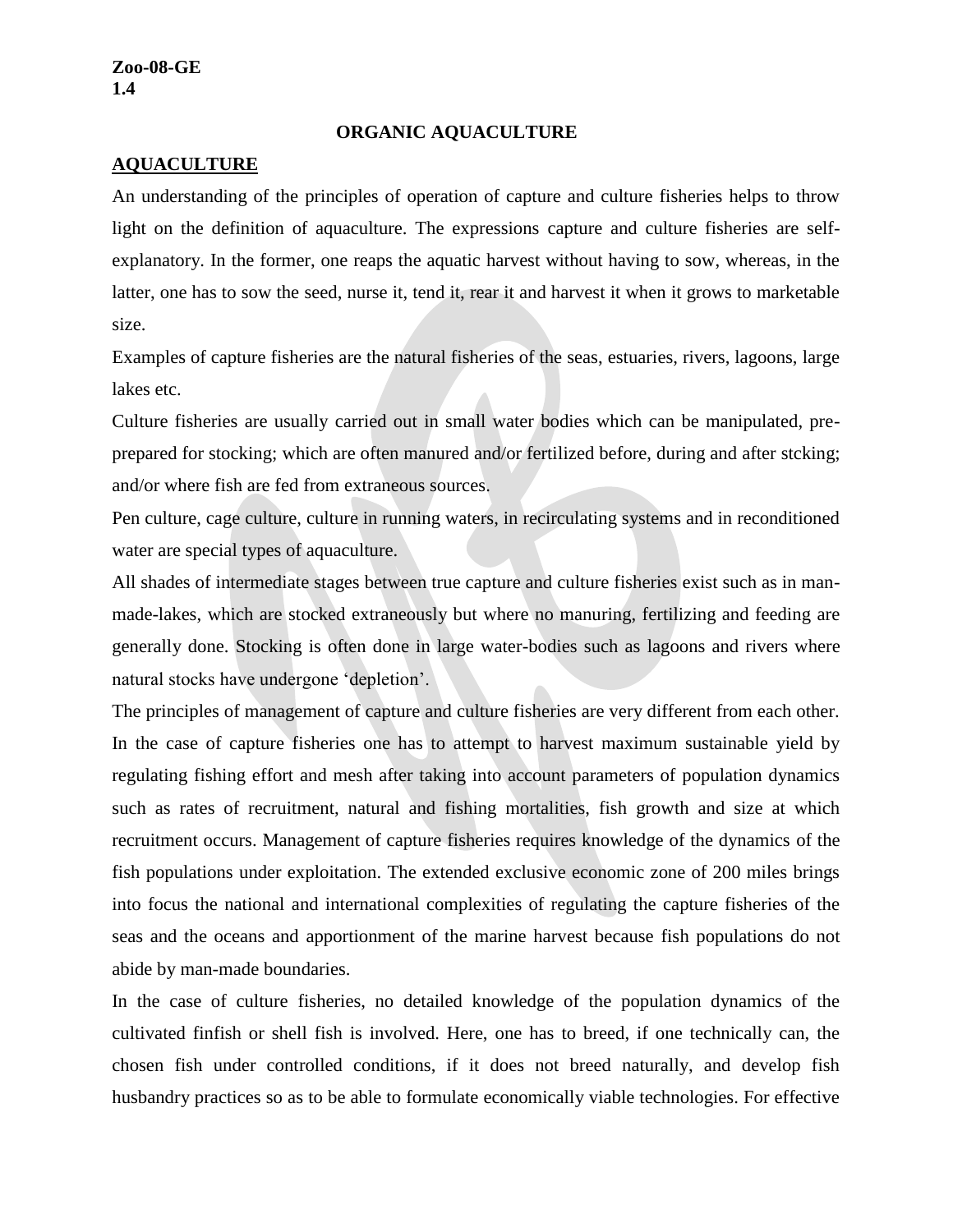#### **ORGANIC AQUACULTURE**

#### **AQUACULTURE**

An understanding of the principles of operation of capture and culture fisheries helps to throw light on the definition of aquaculture. The expressions capture and culture fisheries are selfexplanatory. In the former, one reaps the aquatic harvest without having to sow, whereas, in the latter, one has to sow the seed, nurse it, tend it, rear it and harvest it when it grows to marketable size.

Examples of capture fisheries are the natural fisheries of the seas, estuaries, rivers, lagoons, large lakes etc.

Culture fisheries are usually carried out in small water bodies which can be manipulated, preprepared for stocking; which are often manured and/or fertilized before, during and after stcking; and/or where fish are fed from extraneous sources.

Pen culture, cage culture, culture in running waters, in recirculating systems and in reconditioned water are special types of aquaculture.

All shades of intermediate stages between true capture and culture fisheries exist such as in manmade-lakes, which are stocked extraneously but where no manuring, fertilizing and feeding are generally done. Stocking is often done in large water-bodies such as lagoons and rivers where natural stocks have undergone 'depletion'.

The principles of management of capture and culture fisheries are very different from each other. In the case of capture fisheries one has to attempt to harvest maximum sustainable yield by regulating fishing effort and mesh after taking into account parameters of population dynamics such as rates of recruitment, natural and fishing mortalities, fish growth and size at which recruitment occurs. Management of capture fisheries requires knowledge of the dynamics of the fish populations under exploitation. The extended exclusive economic zone of 200 miles brings into focus the national and international complexities of regulating the capture fisheries of the seas and the oceans and apportionment of the marine harvest because fish populations do not abide by man-made boundaries.

In the case of culture fisheries, no detailed knowledge of the population dynamics of the cultivated finfish or shell fish is involved. Here, one has to breed, if one technically can, the chosen fish under controlled conditions, if it does not breed naturally, and develop fish husbandry practices so as to be able to formulate economically viable technologies. For effective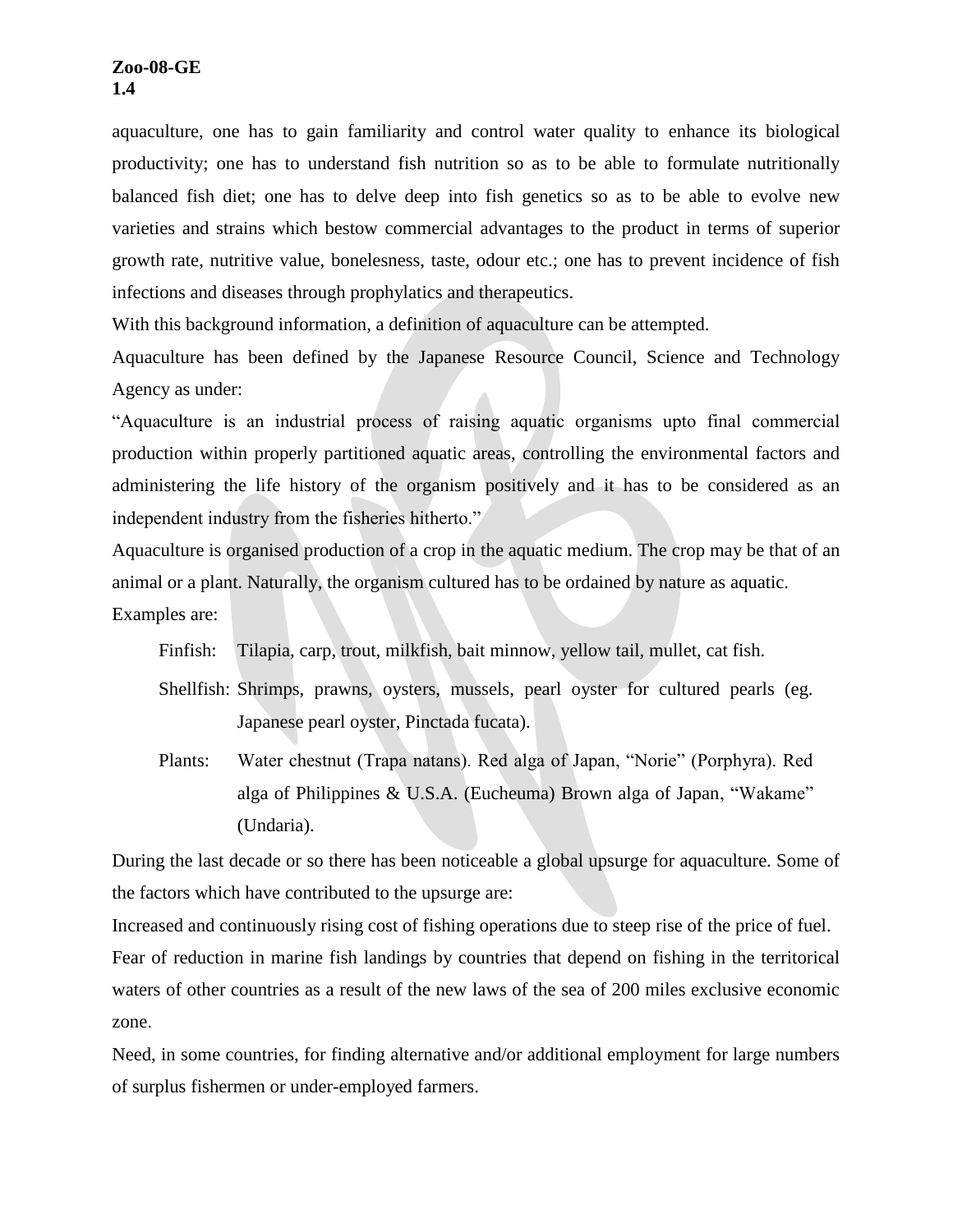aquaculture, one has to gain familiarity and control water quality to enhance its biological productivity; one has to understand fish nutrition so as to be able to formulate nutritionally balanced fish diet; one has to delve deep into fish genetics so as to be able to evolve new varieties and strains which bestow commercial advantages to the product in terms of superior growth rate, nutritive value, bonelesness, taste, odour etc.; one has to prevent incidence of fish infections and diseases through prophylatics and therapeutics.

With this background information, a definition of aquaculture can be attempted.

Aquaculture has been defined by the Japanese Resource Council, Science and Technology Agency as under:

"Aquaculture is an industrial process of raising aquatic organisms upto final commercial production within properly partitioned aquatic areas, controlling the environmental factors and administering the life history of the organism positively and it has to be considered as an independent industry from the fisheries hitherto."

Aquaculture is organised production of a crop in the aquatic medium. The crop may be that of an animal or a plant. Naturally, the organism cultured has to be ordained by nature as aquatic.

Examples are:

Finfish: Tilapia, carp, trout, milkfish, bait minnow, yellow tail, mullet, cat fish.

- Shellfish: Shrimps, prawns, oysters, mussels, pearl oyster for cultured pearls (eg. Japanese pearl oyster, Pinctada fucata).
- Plants: Water chestnut (Trapa natans). Red alga of Japan, "Norie" (Porphyra). Red alga of Philippines & U.S.A. (Eucheuma) Brown alga of Japan, "Wakame" (Undaria).

During the last decade or so there has been noticeable a global upsurge for aquaculture. Some of the factors which have contributed to the upsurge are:

Increased and continuously rising cost of fishing operations due to steep rise of the price of fuel. Fear of reduction in marine fish landings by countries that depend on fishing in the territorical waters of other countries as a result of the new laws of the sea of 200 miles exclusive economic zone.

Need, in some countries, for finding alternative and/or additional employment for large numbers of surplus fishermen or under-employed farmers.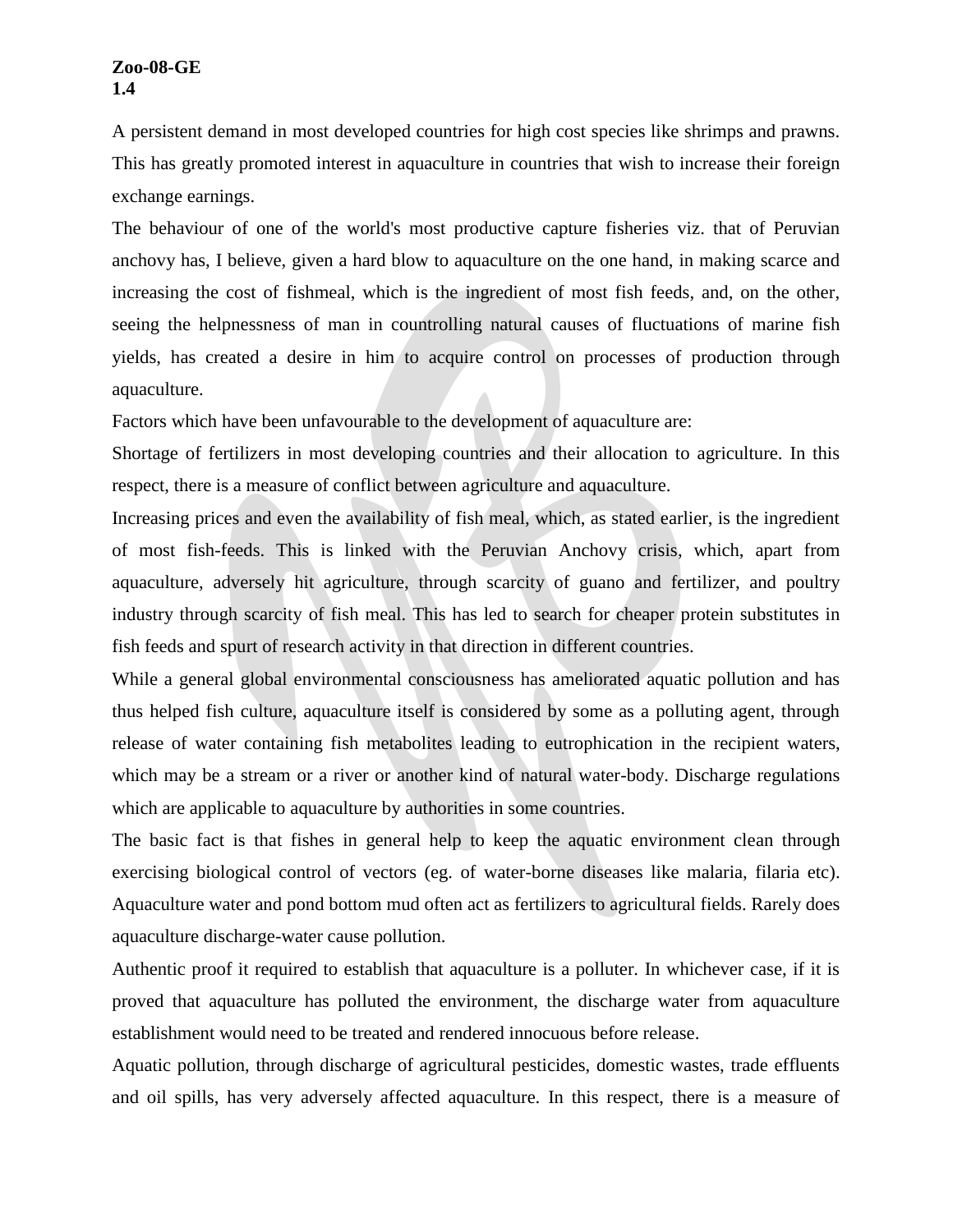A persistent demand in most developed countries for high cost species like shrimps and prawns. This has greatly promoted interest in aquaculture in countries that wish to increase their foreign exchange earnings.

The behaviour of one of the world's most productive capture fisheries viz. that of Peruvian anchovy has, I believe, given a hard blow to aquaculture on the one hand, in making scarce and increasing the cost of fishmeal, which is the ingredient of most fish feeds, and, on the other, seeing the helpnessness of man in countrolling natural causes of fluctuations of marine fish yields, has created a desire in him to acquire control on processes of production through aquaculture.

Factors which have been unfavourable to the development of aquaculture are:

Shortage of fertilizers in most developing countries and their allocation to agriculture. In this respect, there is a measure of conflict between agriculture and aquaculture.

Increasing prices and even the availability of fish meal, which, as stated earlier, is the ingredient of most fish-feeds. This is linked with the Peruvian Anchovy crisis, which, apart from aquaculture, adversely hit agriculture, through scarcity of guano and fertilizer, and poultry industry through scarcity of fish meal. This has led to search for cheaper protein substitutes in fish feeds and spurt of research activity in that direction in different countries.

While a general global environmental consciousness has ameliorated aquatic pollution and has thus helped fish culture, aquaculture itself is considered by some as a polluting agent, through release of water containing fish metabolites leading to eutrophication in the recipient waters, which may be a stream or a river or another kind of natural water-body. Discharge regulations which are applicable to aquaculture by authorities in some countries.

The basic fact is that fishes in general help to keep the aquatic environment clean through exercising biological control of vectors (eg. of water-borne diseases like malaria, filaria etc). Aquaculture water and pond bottom mud often act as fertilizers to agricultural fields. Rarely does aquaculture discharge-water cause pollution.

Authentic proof it required to establish that aquaculture is a polluter. In whichever case, if it is proved that aquaculture has polluted the environment, the discharge water from aquaculture establishment would need to be treated and rendered innocuous before release.

Aquatic pollution, through discharge of agricultural pesticides, domestic wastes, trade effluents and oil spills, has very adversely affected aquaculture. In this respect, there is a measure of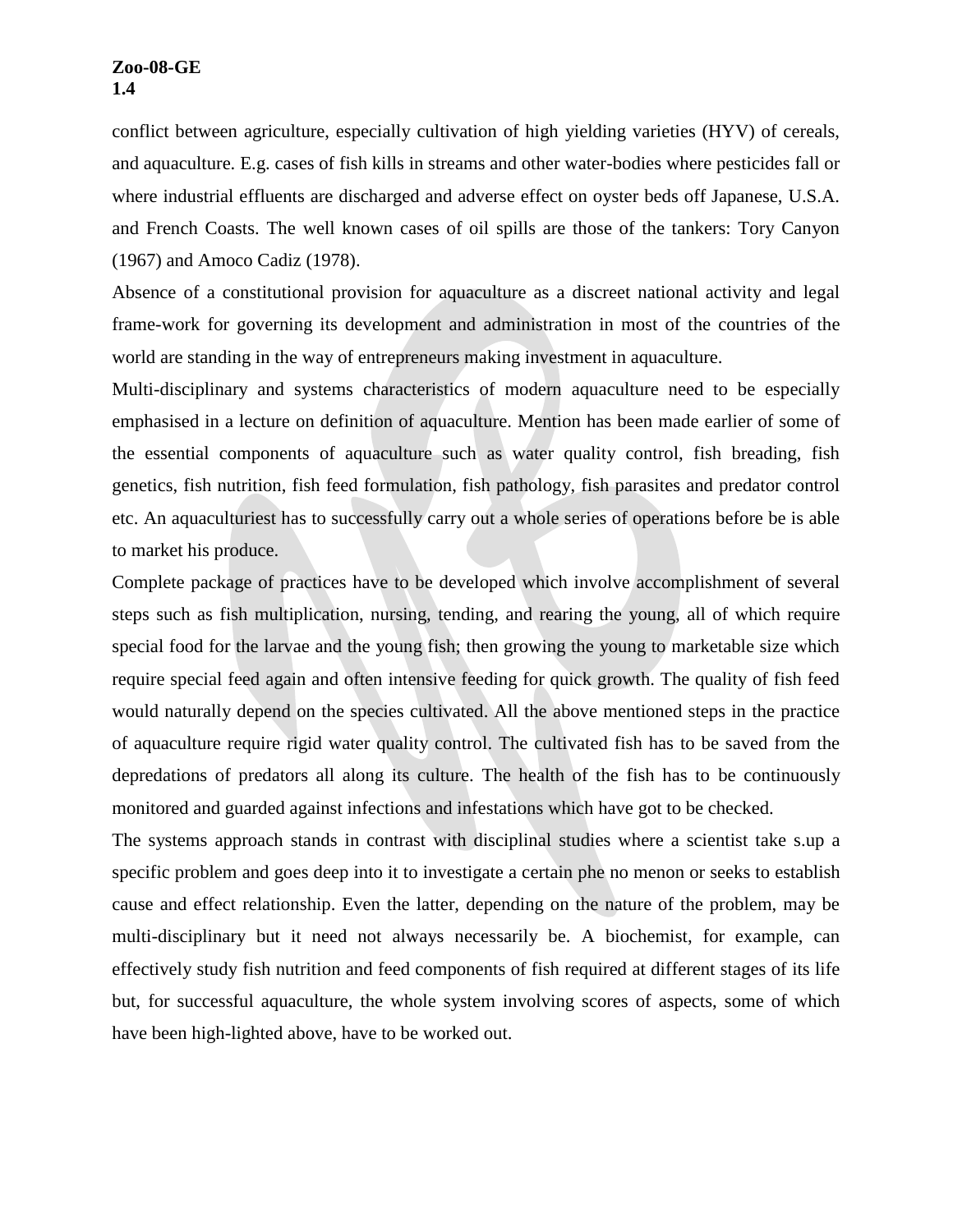conflict between agriculture, especially cultivation of high yielding varieties (HYV) of cereals, and aquaculture. E.g. cases of fish kills in streams and other water-bodies where pesticides fall or where industrial effluents are discharged and adverse effect on oyster beds off Japanese, U.S.A. and French Coasts. The well known cases of oil spills are those of the tankers: Tory Canyon (1967) and Amoco Cadiz (1978).

Absence of a constitutional provision for aquaculture as a discreet national activity and legal frame-work for governing its development and administration in most of the countries of the world are standing in the way of entrepreneurs making investment in aquaculture.

Multi-disciplinary and systems characteristics of modern aquaculture need to be especially emphasised in a lecture on definition of aquaculture. Mention has been made earlier of some of the essential components of aquaculture such as water quality control, fish breading, fish genetics, fish nutrition, fish feed formulation, fish pathology, fish parasites and predator control etc. An aquaculturiest has to successfully carry out a whole series of operations before be is able to market his produce.

Complete package of practices have to be developed which involve accomplishment of several steps such as fish multiplication, nursing, tending, and rearing the young, all of which require special food for the larvae and the young fish; then growing the young to marketable size which require special feed again and often intensive feeding for quick growth. The quality of fish feed would naturally depend on the species cultivated. All the above mentioned steps in the practice of aquaculture require rigid water quality control. The cultivated fish has to be saved from the depredations of predators all along its culture. The health of the fish has to be continuously monitored and guarded against infections and infestations which have got to be checked.

The systems approach stands in contrast with disciplinal studies where a scientist take s.up a specific problem and goes deep into it to investigate a certain phe no menon or seeks to establish cause and effect relationship. Even the latter, depending on the nature of the problem, may be multi-disciplinary but it need not always necessarily be. A biochemist, for example, can effectively study fish nutrition and feed components of fish required at different stages of its life but, for successful aquaculture, the whole system involving scores of aspects, some of which have been high-lighted above, have to be worked out.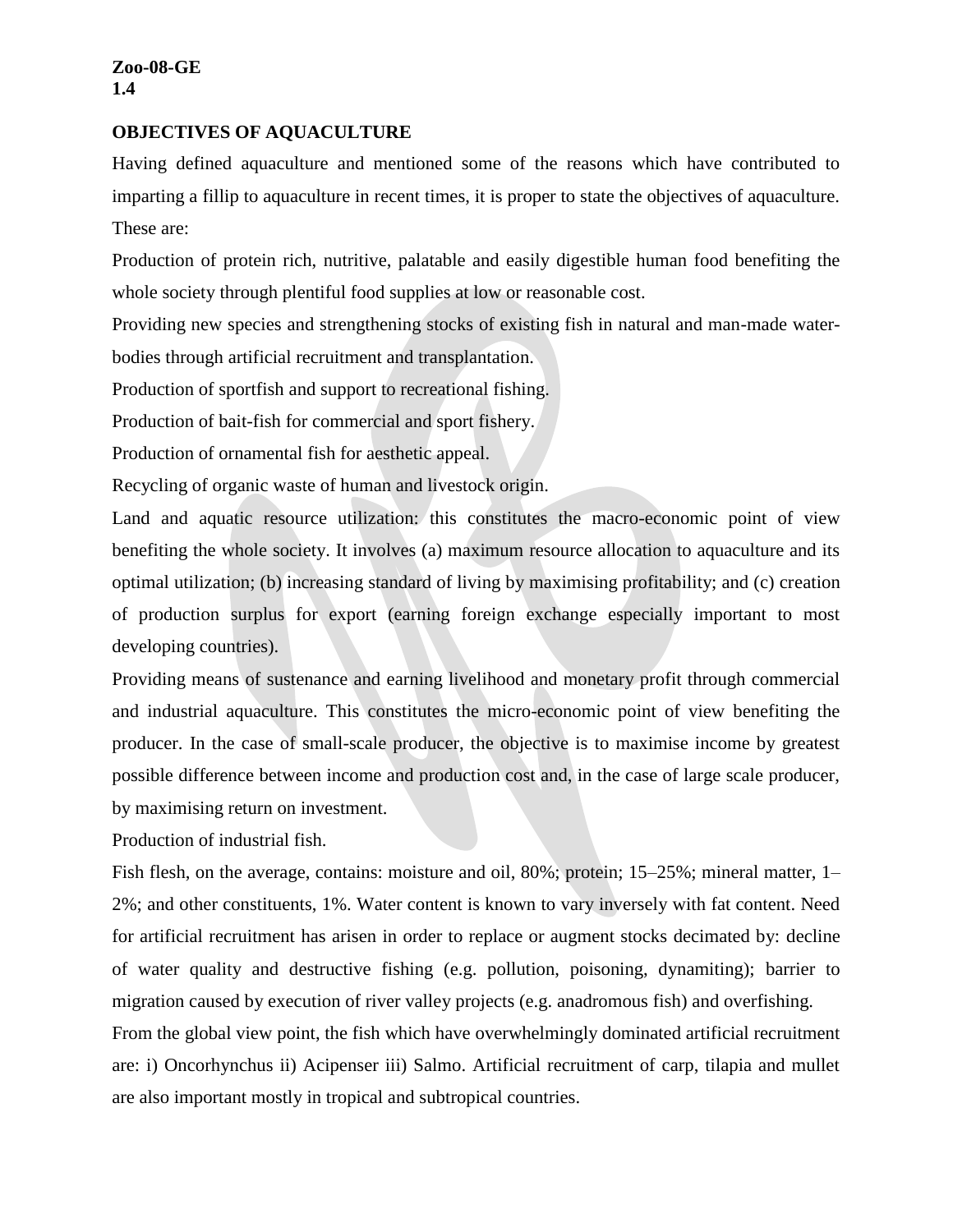#### **OBJECTIVES OF AQUACULTURE**

Having defined aquaculture and mentioned some of the reasons which have contributed to imparting a fillip to aquaculture in recent times, it is proper to state the objectives of aquaculture. These are:

Production of protein rich, nutritive, palatable and easily digestible human food benefiting the whole society through plentiful food supplies at low or reasonable cost.

Providing new species and strengthening stocks of existing fish in natural and man-made waterbodies through artificial recruitment and transplantation.

Production of sportfish and support to recreational fishing.

Production of bait-fish for commercial and sport fishery.

Production of ornamental fish for aesthetic appeal.

Recycling of organic waste of human and livestock origin.

Land and aquatic resource utilization: this constitutes the macro-economic point of view benefiting the whole society. It involves (a) maximum resource allocation to aquaculture and its optimal utilization; (b) increasing standard of living by maximising profitability; and (c) creation of production surplus for export (earning foreign exchange especially important to most developing countries).

Providing means of sustenance and earning livelihood and monetary profit through commercial and industrial aquaculture. This constitutes the micro-economic point of view benefiting the producer. In the case of small-scale producer, the objective is to maximise income by greatest possible difference between income and production cost and, in the case of large scale producer, by maximising return on investment.

Production of industrial fish.

Fish flesh, on the average, contains: moisture and oil, 80%; protein; 15–25%; mineral matter, 1– 2%; and other constituents, 1%. Water content is known to vary inversely with fat content. Need for artificial recruitment has arisen in order to replace or augment stocks decimated by: decline of water quality and destructive fishing (e.g. pollution, poisoning, dynamiting); barrier to migration caused by execution of river valley projects (e.g. anadromous fish) and overfishing. From the global view point, the fish which have overwhelmingly dominated artificial recruitment are: i) Oncorhynchus ii) Acipenser iii) Salmo. Artificial recruitment of carp, tilapia and mullet are also important mostly in tropical and subtropical countries.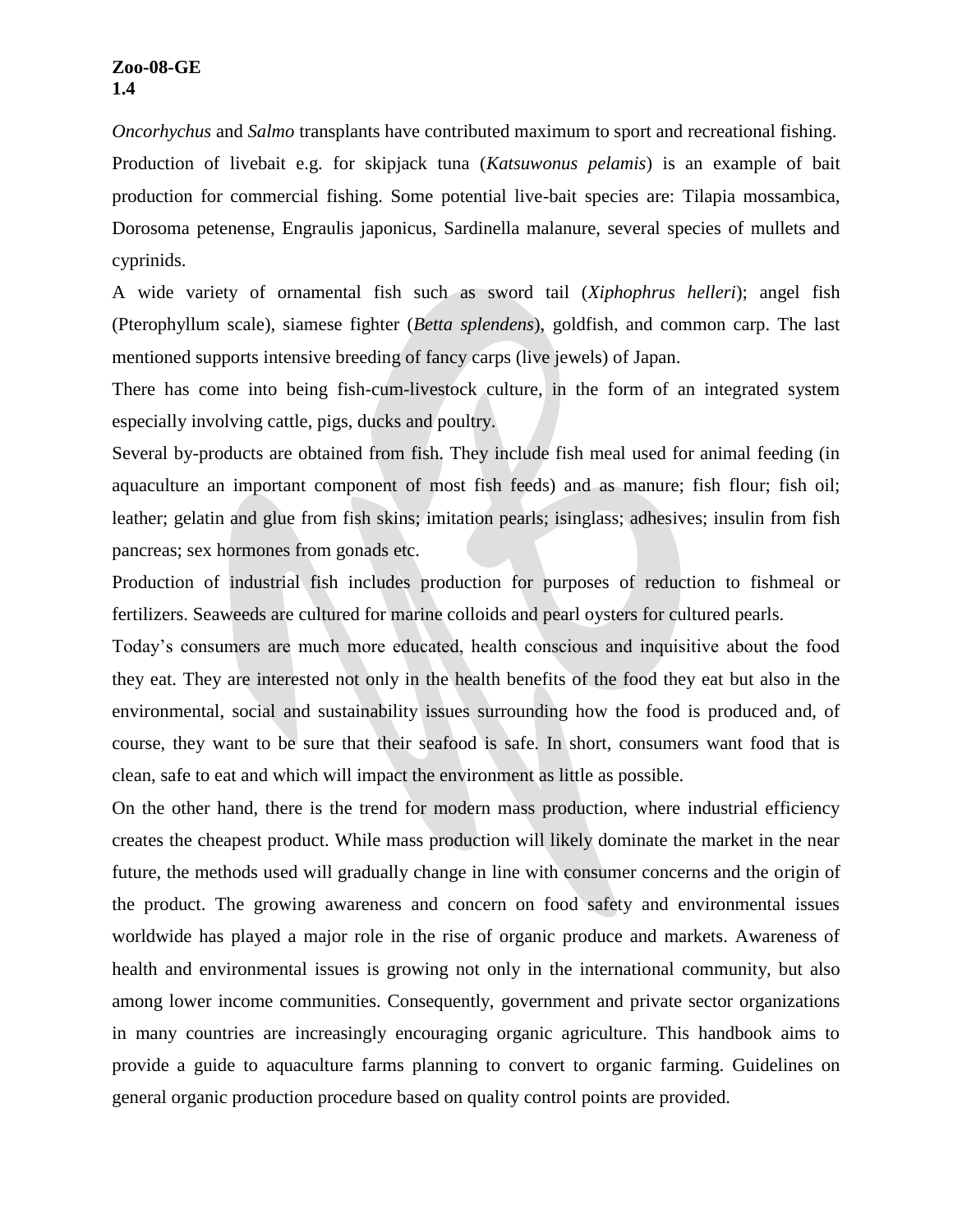*Oncorhychus* and *Salmo* transplants have contributed maximum to sport and recreational fishing.

Production of livebait e.g. for skipjack tuna (*Katsuwonus pelamis*) is an example of bait production for commercial fishing. Some potential live-bait species are: Tilapia mossambica, Dorosoma petenense, Engraulis japonicus, Sardinella malanure, several species of mullets and cyprinids.

A wide variety of ornamental fish such as sword tail (*Xiphophrus helleri*); angel fish (Pterophyllum scale), siamese fighter (*Betta splendens*), goldfish, and common carp. The last mentioned supports intensive breeding of fancy carps (live jewels) of Japan.

There has come into being fish-cum-livestock culture, in the form of an integrated system especially involving cattle, pigs, ducks and poultry.

Several by-products are obtained from fish. They include fish meal used for animal feeding (in aquaculture an important component of most fish feeds) and as manure; fish flour; fish oil; leather; gelatin and glue from fish skins; imitation pearls; isinglass; adhesives; insulin from fish pancreas; sex hormones from gonads etc.

Production of industrial fish includes production for purposes of reduction to fishmeal or fertilizers. Seaweeds are cultured for marine colloids and pearl oysters for cultured pearls.

Today's consumers are much more educated, health conscious and inquisitive about the food they eat. They are interested not only in the health benefits of the food they eat but also in the environmental, social and sustainability issues surrounding how the food is produced and, of course, they want to be sure that their seafood is safe. In short, consumers want food that is clean, safe to eat and which will impact the environment as little as possible.

On the other hand, there is the trend for modern mass production, where industrial efficiency creates the cheapest product. While mass production will likely dominate the market in the near future, the methods used will gradually change in line with consumer concerns and the origin of the product. The growing awareness and concern on food safety and environmental issues worldwide has played a major role in the rise of organic produce and markets. Awareness of health and environmental issues is growing not only in the international community, but also among lower income communities. Consequently, government and private sector organizations in many countries are increasingly encouraging organic agriculture. This handbook aims to provide a guide to aquaculture farms planning to convert to organic farming. Guidelines on general organic production procedure based on quality control points are provided.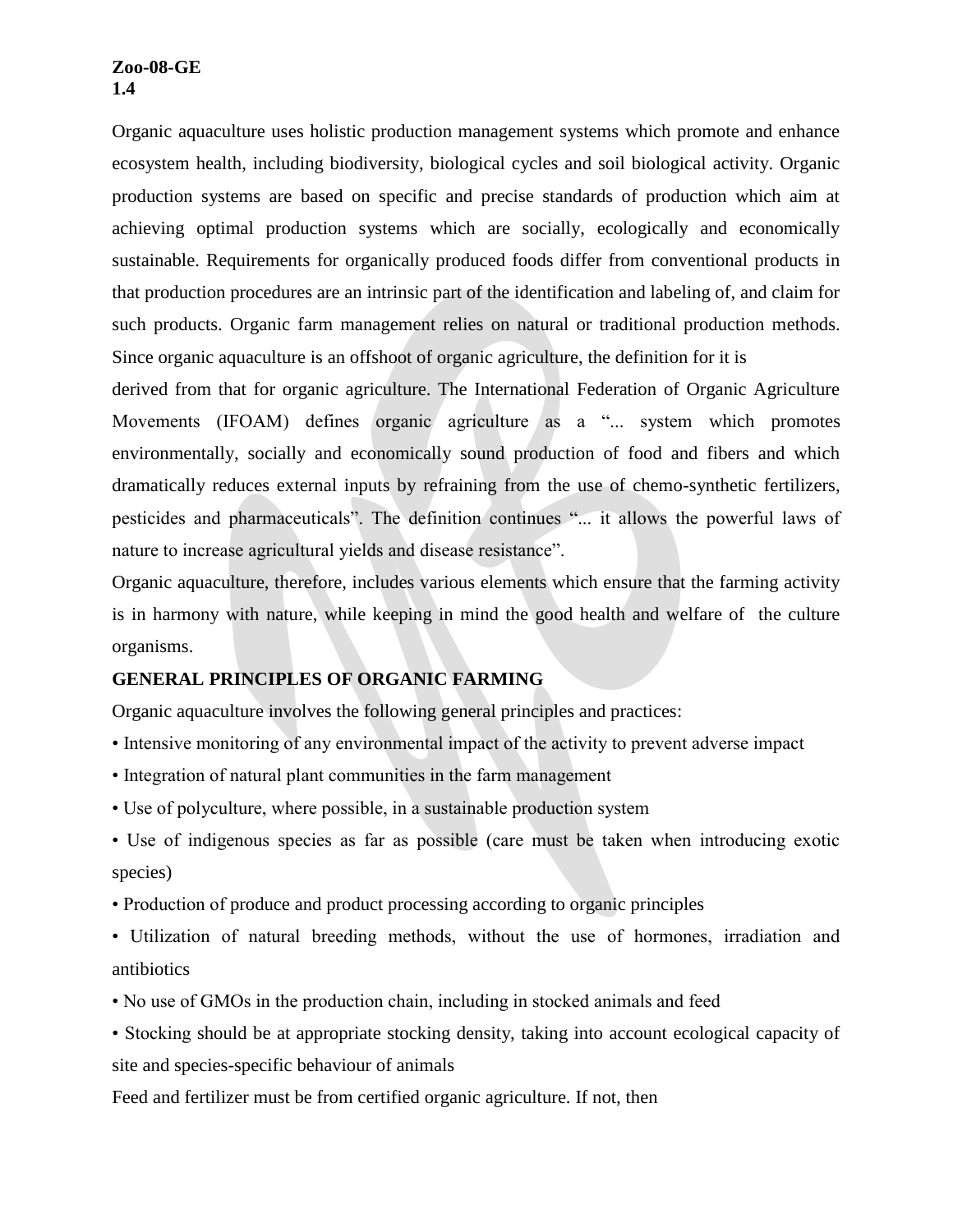Organic aquaculture uses holistic production management systems which promote and enhance ecosystem health, including biodiversity, biological cycles and soil biological activity. Organic production systems are based on specific and precise standards of production which aim at achieving optimal production systems which are socially, ecologically and economically sustainable. Requirements for organically produced foods differ from conventional products in that production procedures are an intrinsic part of the identification and labeling of, and claim for such products. Organic farm management relies on natural or traditional production methods. Since organic aquaculture is an offshoot of organic agriculture, the definition for it is

derived from that for organic agriculture. The International Federation of Organic Agriculture Movements (IFOAM) defines organic agriculture as a "... system which promotes environmentally, socially and economically sound production of food and fibers and which dramatically reduces external inputs by refraining from the use of chemo-synthetic fertilizers, pesticides and pharmaceuticals". The definition continues "... it allows the powerful laws of nature to increase agricultural yields and disease resistance".

Organic aquaculture, therefore, includes various elements which ensure that the farming activity is in harmony with nature, while keeping in mind the good health and welfare of the culture organisms.

## **GENERAL PRINCIPLES OF ORGANIC FARMING**

Organic aquaculture involves the following general principles and practices:

- Intensive monitoring of any environmental impact of the activity to prevent adverse impact
- Integration of natural plant communities in the farm management
- Use of polyculture, where possible, in a sustainable production system
- Use of indigenous species as far as possible (care must be taken when introducing exotic species)
- Production of produce and product processing according to organic principles
- Utilization of natural breeding methods, without the use of hormones, irradiation and antibiotics
- No use of GMOs in the production chain, including in stocked animals and feed
- Stocking should be at appropriate stocking density, taking into account ecological capacity of site and species-specific behaviour of animals

Feed and fertilizer must be from certified organic agriculture. If not, then